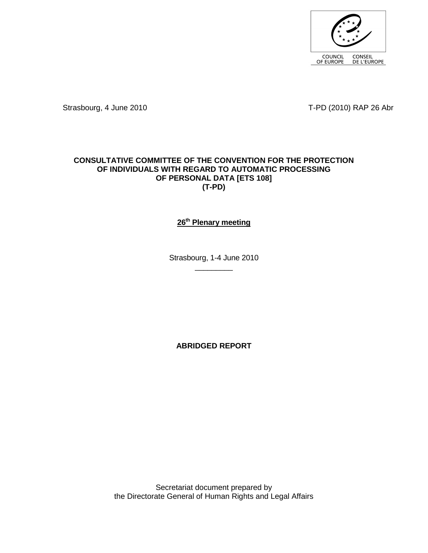

Strasbourg, 4 June 2010 **T-PD** (2010) RAP 26 Abr

#### **CONSULTATIVE COMMITTEE OF THE CONVENTION FOR THE PROTECTION OF INDIVIDUALS WITH REGARD TO AUTOMATIC PROCESSING OF PERSONAL DATA [ETS 108] (T-PD)**

## **26th Plenary meeting**

Strasbourg, 1-4 June 2010  $\overline{\phantom{a}}$  . The set of the set of the set of the set of the set of the set of the set of the set of the set of the set of the set of the set of the set of the set of the set of the set of the set of the set of the set o

**ABRIDGED REPORT** 

Secretariat document prepared by the Directorate General of Human Rights and Legal Affairs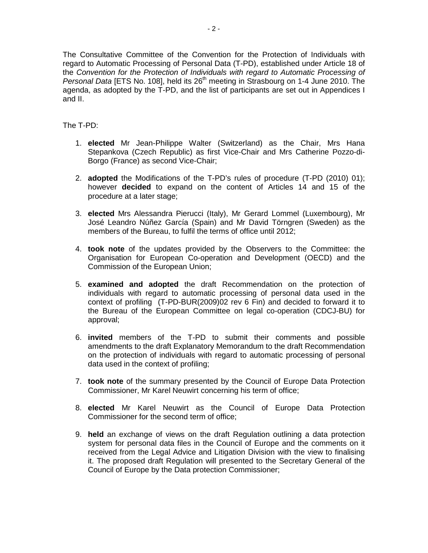The Consultative Committee of the Convention for the Protection of Individuals with regard to Automatic Processing of Personal Data (T-PD), established under Article 18 of the Convention for the Protection of Individuals with regard to Automatic Processing of Personal Data [ETS No. 108], held its 26<sup>th</sup> meeting in Strasbourg on 1-4 June 2010. The agenda, as adopted by the T-PD, and the list of participants are set out in Appendices I and II.

The T-PD:

- 1. **elected** Mr Jean-Philippe Walter (Switzerland) as the Chair, Mrs Hana Stepankova (Czech Republic) as first Vice-Chair and Mrs Catherine Pozzo-di-Borgo (France) as second Vice-Chair;
- 2. **adopted** the Modifications of the T-PD's rules of procedure (T-PD (2010) 01); however **decided** to expand on the content of Articles 14 and 15 of the procedure at a later stage;
- 3. **elected** Mrs Alessandra Pierucci (Italy), Mr Gerard Lommel (Luxembourg), Mr José Leandro Núñez García (Spain) and Mr David Törngren (Sweden) as the members of the Bureau, to fulfil the terms of office until 2012;
- 4. **took note** of the updates provided by the Observers to the Committee: the Organisation for European Co-operation and Development (OECD) and the Commission of the European Union;
- 5. **examined and adopted** the draft Recommendation on the protection of individuals with regard to automatic processing of personal data used in the context of profiling (T-PD-BUR(2009)02 rev 6 Fin) and decided to forward it to the Bureau of the European Committee on legal co-operation (CDCJ-BU) for approval;
- 6. **invited** members of the T-PD to submit their comments and possible amendments to the draft Explanatory Memorandum to the draft Recommendation on the protection of individuals with regard to automatic processing of personal data used in the context of profiling;
- 7. **took note** of the summary presented by the Council of Europe Data Protection Commissioner, Mr Karel Neuwirt concerning his term of office;
- 8. **elected** Mr Karel Neuwirt as the Council of Europe Data Protection Commissioner for the second term of office;
- 9. **held** an exchange of views on the draft Regulation outlining a data protection system for personal data files in the Council of Europe and the comments on it received from the Legal Advice and Litigation Division with the view to finalising it. The proposed draft Regulation will presented to the Secretary General of the Council of Europe by the Data protection Commissioner;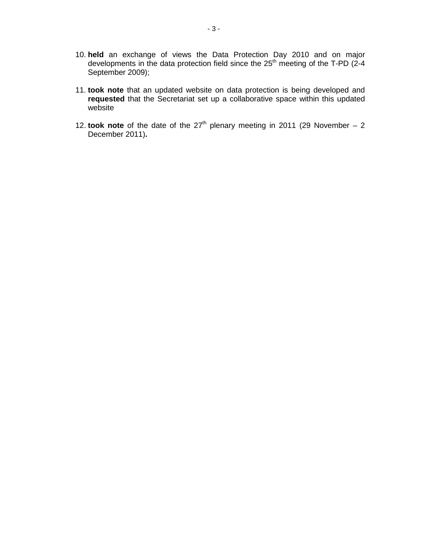- 10. **held** an exchange of views the Data Protection Day 2010 and on major developments in the data protection field since the 25th meeting of the T-PD (2-4 September 2009);
- 11. **took note** that an updated website on data protection is being developed and **requested** that the Secretariat set up a collaborative space within this updated website
- 12. **took note** of the date of the  $27<sup>th</sup>$  plenary meeting in 2011 (29 November 2 December 2011)**.**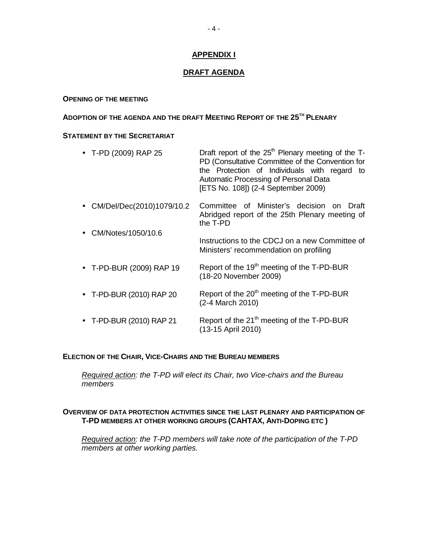## **APPENDIX I**

## **DRAFT AGENDA**

#### **OPENING OF THE MEETING**

## **ADOPTION OF THE AGENDA AND THE DRAFT MEETING REPORT OF THE 25TH PLENARY**

## **STATEMENT BY THE SECRETARIAT**

| • T-PD (2009) RAP 25        | Draft report of the $25th$ Plenary meeting of the T-<br>PD (Consultative Committee of the Convention for<br>the Protection of Individuals with regard<br>to<br>Automatic Processing of Personal Data<br>[ETS No. 108]) (2-4 September 2009) |
|-----------------------------|---------------------------------------------------------------------------------------------------------------------------------------------------------------------------------------------------------------------------------------------|
| • CM/Del/Dec(2010)1079/10.2 | Committee of Minister's decision on<br>Draft<br>Abridged report of the 25th Plenary meeting of<br>the T-PD                                                                                                                                  |
| CM/Notes/1050/10.6          | Instructions to the CDCJ on a new Committee of<br>Ministers' recommendation on profiling                                                                                                                                                    |
| • T-PD-BUR (2009) RAP 19    | Report of the 19 <sup>th</sup> meeting of the T-PD-BUR<br>(18-20 November 2009)                                                                                                                                                             |
| • T-PD-BUR (2010) RAP 20    | Report of the 20 <sup>th</sup> meeting of the T-PD-BUR<br>(2-4 March 2010)                                                                                                                                                                  |
| T-PD-BUR (2010) RAP 21      | Report of the 21 <sup>th</sup> meeting of the T-PD-BUR<br>(13-15 April 2010)                                                                                                                                                                |

#### **ELECTION OF THE CHAIR, VICE-CHAIRS AND THE BUREAU MEMBERS**

Required action: the T-PD will elect its Chair, two Vice-chairs and the Bureau members

#### **OVERVIEW OF DATA PROTECTION ACTIVITIES SINCE THE LAST PLENARY AND PARTICIPATION OF T-PD MEMBERS AT OTHER WORKING GROUPS (CAHTAX, ANTI-DOPING ETC )**

Required action: the T-PD members will take note of the participation of the T-PD members at other working parties.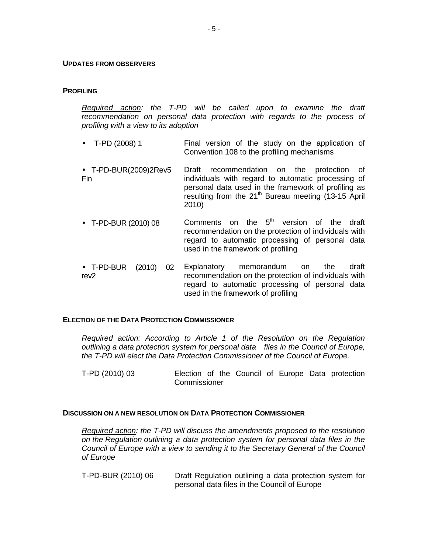#### **UPDATES FROM OBSERVERS**

#### **PROFILING**

Required action: the T-PD will be called upon to examine the draft recommendation on personal data protection with regards to the process of profiling with a view to its adoption

- T-PD (2008) 1 Final version of the study on the application of Convention 108 to the profiling mechanisms
- T-PD-BUR(2009)2Rev5 Fin Draft recommendation on the protection of individuals with regard to automatic processing of personal data used in the framework of profiling as resulting from the  $21<sup>th</sup>$  Bureau meeting (13-15 April 2010)
- T-PD-BUR (2010) 08 Comments on the  $5<sup>th</sup>$  version of the draft recommendation on the protection of individuals with regard to automatic processing of personal data used in the framework of profiling
- T-PD-BUR (2010) 02 rev2 Explanatory memorandum on the draft recommendation on the protection of individuals with regard to automatic processing of personal data used in the framework of profiling

#### **ELECTION OF THE DATA PROTECTION COMMISSIONER**

Required action: According to Article 1 of the Resolution on the Regulation outlining a data protection system for personal data files in the Council of Europe, the T-PD will elect the Data Protection Commissioner of the Council of Europe.

T-PD (2010) 03 Election of the Council of Europe Data protection Commissioner

#### **DISCUSSION ON A NEW RESOLUTION ON DATA PROTECTION COMMISSIONER**

Required action: the T-PD will discuss the amendments proposed to the resolution on the Regulation outlining a data protection system for personal data files in the Council of Europe with a view to sending it to the Secretary General of the Council of Europe

T-PD-BUR (2010) 06 Draft Regulation outlining a data protection system for personal data files in the Council of Europe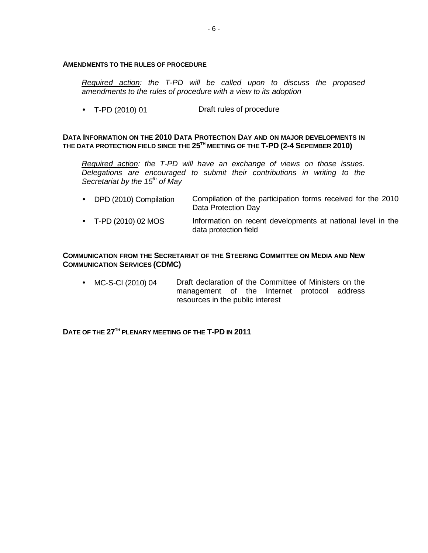#### **AMENDMENTS TO THE RULES OF PROCEDURE**

Required action: the T-PD will be called upon to discuss the proposed amendments to the rules of procedure with a view to its adoption

• T-PD (2010) 01 Draft rules of procedure

#### **DATA INFORMATION ON THE 2010 DATA PROTECTION DAY AND ON MAJOR DEVELOPMENTS IN THE DATA PROTECTION FIELD SINCE THE 25TH MEETING OF THE T-PD (2-4 SEPEMBER 2010)**

Required action: the T-PD will have an exchange of views on those issues. Delegations are encouraged to submit their contributions in writing to the Secretariat by the  $15<sup>th</sup>$  of May

- DPD (2010) Compilation Compilation of the participation forms received for the 2010 Data Protection Day
- T-PD (2010) 02 MOS Information on recent developments at national level in the data protection field

#### **COMMUNICATION FROM THE SECRETARIAT OF THE STEERING COMMITTEE ON MEDIA AND NEW COMMUNICATION SERVICES (CDMC)**

• MC-S-CI (2010) 04 Draft declaration of the Committee of Ministers on the management of the Internet protocol address resources in the public interest

**DATE OF THE 27TH PLENARY MEETING OF THE T-PD IN 2011**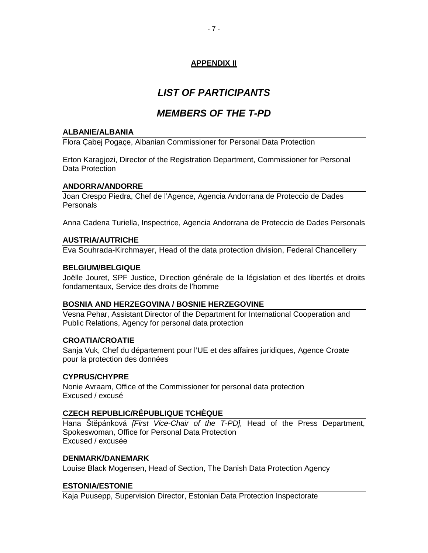## **APPENDIX II**

# **LIST OF PARTICIPANTS**

# **MEMBERS OF THE T-PD**

#### **ALBANIE/ALBANIA**

Flora Çabej Pogaçe, Albanian Commissioner for Personal Data Protection

Erton Karagjozi, Director of the Registration Department, Commissioner for Personal Data Protection

#### **ANDORRA/ANDORRE**

Joan Crespo Piedra, Chef de l'Agence, Agencia Andorrana de Proteccio de Dades **Personals** 

Anna Cadena Turiella, Inspectrice, Agencia Andorrana de Proteccio de Dades Personals

#### **AUSTRIA/AUTRICHE**

Eva Souhrada-Kirchmayer, Head of the data protection division, Federal Chancellery

#### **BELGIUM/BELGIQUE**

Joëlle Jouret, SPF Justice, Direction générale de la législation et des libertés et droits fondamentaux, Service des droits de l'homme

## **BOSNIA AND HERZEGOVINA / BOSNIE HERZEGOVINE**

Vesna Pehar, Assistant Director of the Department for International Cooperation and Public Relations, Agency for personal data protection

## **CROATIA/CROATIE**

Sanja Vuk, Chef du département pour l'UE et des affaires juridiques, Agence Croate pour la protection des données

## **CYPRUS/CHYPRE**

Nonie Avraam, Office of the Commissioner for personal data protection Excused / excusé

## **CZECH REPUBLIC/RÉPUBLIQUE TCHÈQUE**

Hana Štěpánková [First Vice-Chair of the T-PD], Head of the Press Department, Spokeswoman, Office for Personal Data Protection Excused / excusée

#### **DENMARK/DANEMARK**

Louise Black Mogensen, Head of Section, The Danish Data Protection Agency

## **ESTONIA/ESTONIE**

Kaja Puusepp, Supervision Director, Estonian Data Protection Inspectorate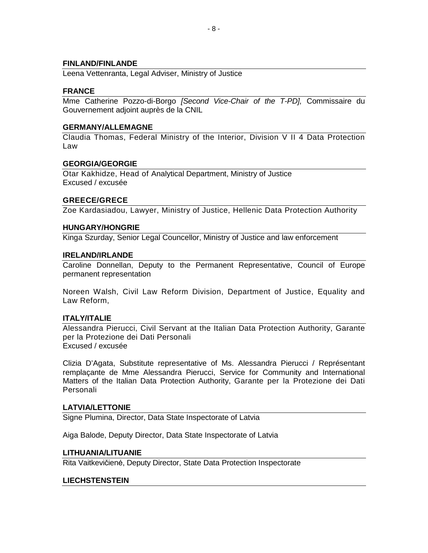#### **FINLAND/FINLANDE**

Leena Vettenranta, Legal Adviser, Ministry of Justice

#### **FRANCE**

Mme Catherine Pozzo-di-Borgo [Second Vice-Chair of the T-PD], Commissaire du Gouvernement adjoint auprès de la CNIL

#### **GERMANY/ALLEMAGNE**

Claudia Thomas, Federal Ministry of the Interior, Division V II 4 Data Protection Law

#### **GEORGIA/GEORGIE**

Otar Kakhidze, Head of Analytical Department, Ministry of Justice Excused / excusée

#### **GREECE/GRECE**

Zoe Kardasiadou, Lawyer, Ministry of Justice, Hellenic Data Protection Authority

#### **HUNGARY/HONGRIE**

Kinga Szurday, Senior Legal Councellor, Ministry of Justice and law enforcement

#### **IRELAND/IRLANDE**

Caroline Donnellan, Deputy to the Permanent Representative, Council of Europe permanent representation

Noreen Walsh, Civil Law Reform Division, Department of Justice, Equality and Law Reform,

#### **ITALY/ITALIE**

Alessandra Pierucci, Civil Servant at the Italian Data Protection Authority, Garante per la Protezione dei Dati Personali Excused / excusée

Clizia D'Agata, Substitute representative of Ms. Alessandra Pierucci / Représentant remplaçante de Mme Alessandra Pierucci, Service for Community and International Matters of the Italian Data Protection Authority, Garante per la Protezione dei Dati Personali

#### **LATVIA/LETTONIE**

Signe Plumina, Director, Data State Inspectorate of Latvia

Aiga Balode, Deputy Director, Data State Inspectorate of Latvia

#### **LITHUANIA/LITUANIE**

Rita Vaitkevičienė, Deputy Director, State Data Protection Inspectorate

## **LIECHSTENSTEIN**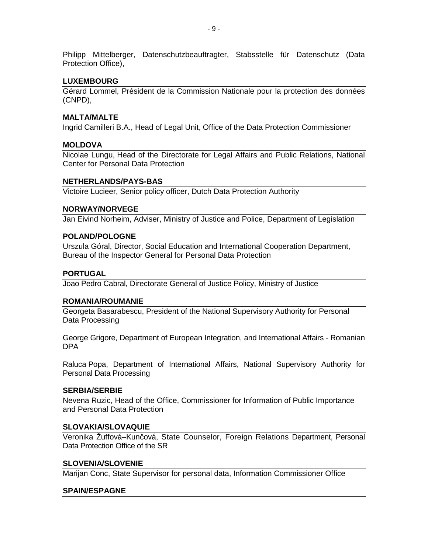Philipp Mittelberger, Datenschutzbeauftragter, Stabsstelle für Datenschutz (Data Protection Office),

#### **LUXEMBOURG**

Gérard Lommel, Président de la Commission Nationale pour la protection des données (CNPD),

#### **MALTA/MALTE**

Ingrid Camilleri B.A., Head of Legal Unit, Office of the Data Protection Commissioner

#### **MOLDOVA**

Nicolae Lungu, Head of the Directorate for Legal Affairs and Public Relations, National Center for Personal Data Protection

#### **NETHERLANDS/PAYS-BAS**

Victoire Lucieer, Senior policy officer, Dutch Data Protection Authority

#### **NORWAY/NORVEGE**

Jan Eivind Norheim, Adviser, Ministry of Justice and Police, Department of Legislation

#### **POLAND/POLOGNE**

Urszula Góral, Director, Social Education and International Cooperation Department, Bureau of the Inspector General for Personal Data Protection

#### **PORTUGAL**

Joao Pedro Cabral, Directorate General of Justice Policy, Ministry of Justice

#### **ROMANIA/ROUMANIE**

Georgeta Basarabescu, President of the National Supervisory Authority for Personal Data Processing

George Grigore, Department of European Integration, and International Affairs - Romanian DPA

Raluca Popa, Department of International Affairs, National Supervisory Authority for Personal Data Processing

#### **SERBIA/SERBIE**

Nevena Ruzic, Head of the Office, Commissioner for Information of Public Importance and Personal Data Protection

#### **SLOVAKIA/SLOVAQUIE**

Veronika Žuffová–Kunčová, State Counselor, Foreign Relations Department, Personal Data Protection Office of the SR

#### **SLOVENIA/SLOVENIE**

Marijan Conc, State Supervisor for personal data, Information Commissioner Office

#### **SPAIN/ESPAGNE**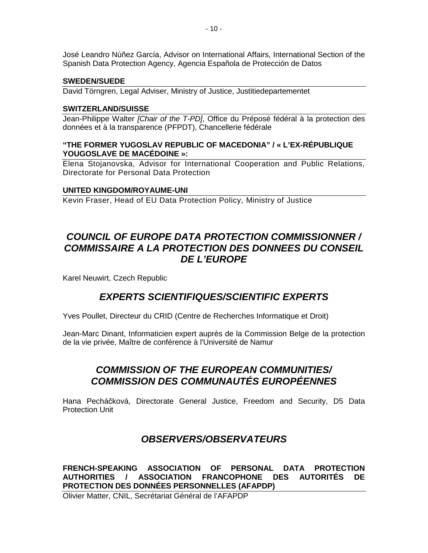José Leandro Núñez García, Advisor on International Affairs, International Section of the Spanish Data Protection Agency, Agencia Española de Protección de Datos

#### **SWEDEN/SUEDE**

David Törngren, Legal Adviser, Ministry of Justice, Justitiedepartementet

#### **SWITZERLAND/SUISSE**

Jean-Philippe Walter [Chair of the T-PD], Office du Préposé fédéral à la protection des données et à la transparence (PFPDT), Chancellerie fédérale

#### **"THE FORMER YUGOSLAV REPUBLIC OF MACEDONIA" / « L'EX-RÉPUBLIQUE YOUGOSLAVE DE MACÉDOINE »:**

Elena Stojanovska, Advisor for International Cooperation and Public Relations, Directorate for Personal Data Protection

#### **UNITED KINGDOM/ROYAUME-UNI**

Kevin Fraser, Head of EU Data Protection Policy, Ministry of Justice

## **COUNCIL OF EUROPE DATA PROTECTION COMMISSIONNER / COMMISSAIRE A LA PROTECTION DES DONNEES DU CONSEIL DE L'EUROPE**

Karel Neuwirt, Czech Republic

## **EXPERTS SCIENTIFIQUES/SCIENTIFIC EXPERTS**

Yves Poullet, Directeur du CRID (Centre de Recherches Informatique et Droit)

Jean-Marc Dinant, Informaticien expert auprès de la Commission Belge de la protection de la vie privée, Maître de conférence à l'Université de Namur

## **COMMISSION OF THE EUROPEAN COMMUNITIES/ COMMISSION DES COMMUNAUTÉS EUROPÉENNES**

Hana Pecháčková, Directorate General Justice, Freedom and Security, D5 Data Protection Unit

## **OBSERVERS/OBSERVATEURS**

#### **FRENCH-SPEAKING ASSOCIATION OF PERSONAL DATA PROTECTION AUTHORITIES / ASSOCIATION FRANCOPHONE DES AUTORITÉS DE PROTECTION DES DONNÉES PERSONNELLES (AFAPDP)**

Olivier Matter, CNIL, Secrétariat Général de l'AFAPDP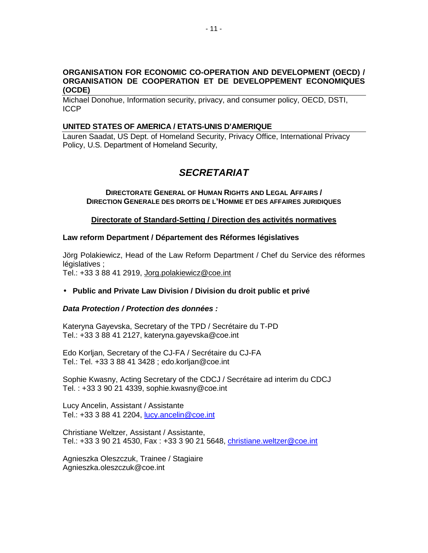#### **ORGANISATION FOR ECONOMIC CO-OPERATION AND DEVELOPMENT (OECD) / ORGANISATION DE COOPERATION ET DE DEVELOPPEMENT ECONOMIQUES (OCDE)**

Michael Donohue, Information security, privacy, and consumer policy, OECD, DSTI, ICCP

#### **UNITED STATES OF AMERICA / ETATS-UNIS D'AMERIQUE**

Lauren Saadat, US Dept. of Homeland Security, Privacy Office, International Privacy Policy, U.S. Department of Homeland Security,

# **SECRETARIAT**

#### **DIRECTORATE GENERAL OF HUMAN RIGHTS AND LEGAL AFFAIRS / DIRECTION GENERALE DES DROITS DE L'HOMME ET DES AFFAIRES JURIDIQUES**

#### **Directorate of Standard-Setting / Direction des activités normatives**

#### **Law reform Department / Département des Réformes législatives**

Jörg Polakiewicz, Head of the Law Reform Department / Chef du Service des réformes législatives :

Tel.: +33 3 88 41 2919, Jorg.polakiewicz@coe.int

## • **Public and Private Law Division / Division du droit public et privé**

#### **Data Protection / Protection des données :**

Kateryna Gayevska, Secretary of the TPD / Secrétaire du T-PD Tel.: +33 3 88 41 2127, kateryna.gayevska@coe.int

Edo Korljan, Secretary of the CJ-FA / Secrétaire du CJ-FA Tel.: Tel. +33 3 88 41 3428 ; edo.korljan@coe.int

Sophie Kwasny, Acting Secretary of the CDCJ / Secrétaire ad interim du CDCJ Tel. : +33 3 90 21 4339, sophie.kwasny@coe.int

Lucy Ancelin, Assistant / Assistante Tel.: +33 3 88 41 2204, lucy.ancelin@coe.int

Christiane Weltzer, Assistant / Assistante, Tel.: +33 3 90 21 4530, Fax : +33 3 90 21 5648, *christiane.weltzer@coe.int* 

Agnieszka Oleszczuk, Trainee / Stagiaire Agnieszka.oleszczuk@coe.int